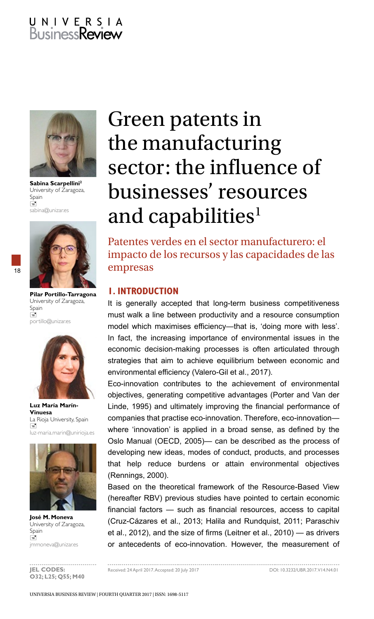# U N I V E R S I A<br>Business**Review**



**Sabina Scarpellini2** University of Zaragoza, Spain  $\equiv$ sabina@unizar.es



18

**Pilar Portillo-Tarragona** University of Zaragoza, Spain Ė portillo@unizar.es



**Luz María Marín-Vinuesa** La Rioja University, Spain  $\Box$ luz-maria.marin@unirioja.es



**José M. Moneva** University of Zaragoza, Spain  $\overline{a}$ jmmoneva@unizar.es

## Green patents in the manufacturing sector: the influence of businesses' resources and capabilities<sup>1</sup>

Patentes verdes en el sector manufacturero: el impacto de los recursos y las capacidades de las empresas

### **1. INTRODUCTION**

It is generally accepted that long-term business competitiveness must walk a line between productivity and a resource consumption model which maximises efficiency—that is, 'doing more with less'. In fact, the increasing importance of environmental issues in the economic decision-making processes is often articulated through strategies that aim to achieve equilibrium between economic and environmental efficiency (Valero-Gil et al., 2017).

Eco-innovation contributes to the achievement of environmental objectives, generating competitive advantages (Porter and Van der Linde, 1995) and ultimately improving the financial performance of companies that practise eco-innovation. Therefore, eco-innovation where 'innovation' is applied in a broad sense, as defined by the Oslo Manual (OECD, 2005)— can be described as the process of developing new ideas, modes of conduct, products, and processes that help reduce burdens or attain environmental objectives (Rennings, 2000).

Based on the theoretical framework of the Resource-Based View (hereafter RBV) previous studies have pointed to certain economic financial factors — such as financial resources, access to capital (Cruz-Cázares et al., 2013; Halila and Rundquist, 2011; Paraschiv et al., 2012), and the size of firms (Leitner et al., 2010) — as drivers or antecedents of eco-innovation. However, the measurement of

...............................

................ **O32; L25; Q55; M40**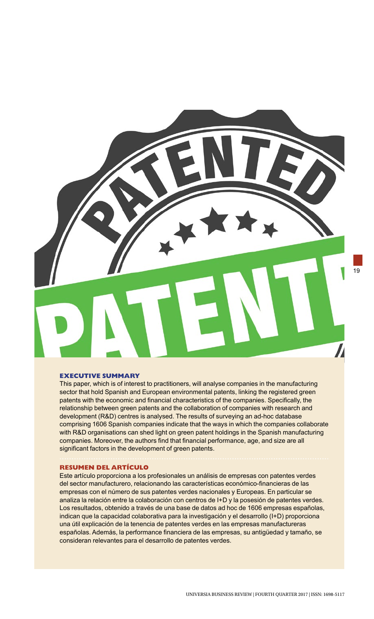

#### **EXECUTIVE SUMMARY**

This paper, which is of interest to practitioners, will analyse companies in the manufacturing sector that hold Spanish and European environmental patents, linking the registered green patents with the economic and financial characteristics of the companies. Specifically, the relationship between green patents and the collaboration of companies with research and development (R&D) centres is analysed. The results of surveying an ad-hoc database comprising 1606 Spanish companies indicate that the ways in which the companies collaborate with R&D organisations can shed light on green patent holdings in the Spanish manufacturing companies. Moreover, the authors find that financial performance, age, and size are all significant factors in the development of green patents.

#### **RESUMEN DEL ARTÍCULO**

Este artículo proporciona a los profesionales un análisis de empresas con patentes verdes del sector manufacturero, relacionando las características económico-financieras de las empresas con el número de sus patentes verdes nacionales y Europeas. En particular se analiza la relación entre la colaboración con centros de I+D y la posesión de patentes verdes. Los resultados, obtenido a través de una base de datos ad hoc de 1606 empresas españolas, indican que la capacidad colaborativa para la investigación y el desarrollo (I+D) proporciona una útil explicación de la tenencia de patentes verdes en las empresas manufactureras españolas. Además, la performance financiera de las empresas, su antigüedad y tamaño, se consideran relevantes para el desarrollo de patentes verdes.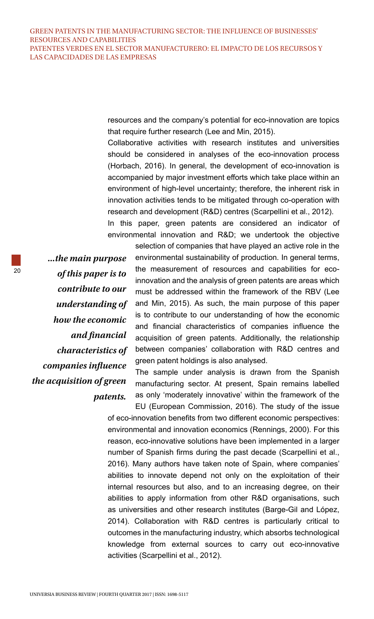resources and the company's potential for eco-innovation are topics that require further research (Lee and Min, 2015).

Collaborative activities with research institutes and universities should be considered in analyses of the eco-innovation process (Horbach, 2016). In general, the development of eco-innovation is accompanied by major investment efforts which take place within an environment of high-level uncertainty; therefore, the inherent risk in innovation activities tends to be mitigated through co-operation with research and development (R&D) centres (Scarpellini et al., 2012). In this paper, green patents are considered an indicator of

environmental innovation and R&D; we undertook the objective

*...the main purpose of this paper is to contribute to our understanding of how the economic and financial characteristics of companies influence the acquisition of green patents.*

selection of companies that have played an active role in the environmental sustainability of production. In general terms, the measurement of resources and capabilities for ecoinnovation and the analysis of green patents are areas which must be addressed within the framework of the RBV (Lee and Min, 2015). As such, the main purpose of this paper is to contribute to our understanding of how the economic and financial characteristics of companies influence the acquisition of green patents. Additionally, the relationship between companies' collaboration with R&D centres and green patent holdings is also analysed.

The sample under analysis is drawn from the Spanish manufacturing sector. At present, Spain remains labelled as only 'moderately innovative' within the framework of the

EU (European Commission, 2016). The study of the issue of eco-innovation benefits from two different economic perspectives: environmental and innovation economics (Rennings, 2000). For this reason, eco-innovative solutions have been implemented in a larger number of Spanish firms during the past decade (Scarpellini et al., 2016). Many authors have taken note of Spain, where companies' abilities to innovate depend not only on the exploitation of their internal resources but also, and to an increasing degree, on their abilities to apply information from other R&D organisations, such as universities and other research institutes (Barge-Gil and López, 2014). Collaboration with R&D centres is particularly critical to outcomes in the manufacturing industry, which absorbs technological knowledge from external sources to carry out eco-innovative activities (Scarpellini et al., 2012).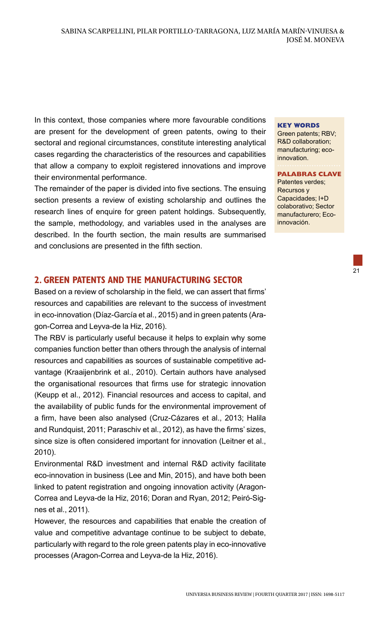In this context, those companies where more favourable conditions are present for the development of green patents, owing to their sectoral and regional circumstances, constitute interesting analytical cases regarding the characteristics of the resources and capabilities that allow a company to exploit registered innovations and improve their environmental performance.

The remainder of the paper is divided into five sections. The ensuing section presents a review of existing scholarship and outlines the research lines of enquire for green patent holdings. Subsequently, the sample, methodology, and variables used in the analyses are described. In the fourth section, the main results are summarised and conclusions are presented in the fifth section.

## **2. GREEN PATENTS AND THE MANUFACTURING SECTOR**

Based on a review of scholarship in the field, we can assert that firms' resources and capabilities are relevant to the success of investment in eco-innovation (Díaz-García et al., 2015) and in green patents (Aragon-Correa and Leyva-de la Hiz, 2016).

The RBV is particularly useful because it helps to explain why some companies function better than others through the analysis of internal resources and capabilities as sources of sustainable competitive advantage (Kraaijenbrink et al., 2010). Certain authors have analysed the organisational resources that firms use for strategic innovation (Keupp et al., 2012). Financial resources and access to capital, and the availability of public funds for the environmental improvement of a firm, have been also analysed (Cruz-Cázares et al., 2013; Halila and Rundquist, 2011; Paraschiv et al., 2012), as have the firms' sizes, since size is often considered important for innovation (Leitner et al., 2010).

Environmental R&D investment and internal R&D activity facilitate eco-innovation in business (Lee and Min, 2015), and have both been linked to patent registration and ongoing innovation activity (Aragon-Correa and Leyva-de la Hiz, 2016; Doran and Ryan, 2012; Peiró-Signes et al., 2011).

However, the resources and capabilities that enable the creation of value and competitive advantage continue to be subject to debate, particularly with regard to the role green patents play in eco-innovative processes (Aragon-Correa and Leyva-de la Hiz, 2016).

#### **KEY WORDS**

Green patents; RBV; R&D collaboration; manufacturing; ecoinnovation.

**PALABRAS CLAVE** Patentes verdes; Recursos y Capacidades; I+D colaborativo; Sector manufacturero; Eco-

innovación.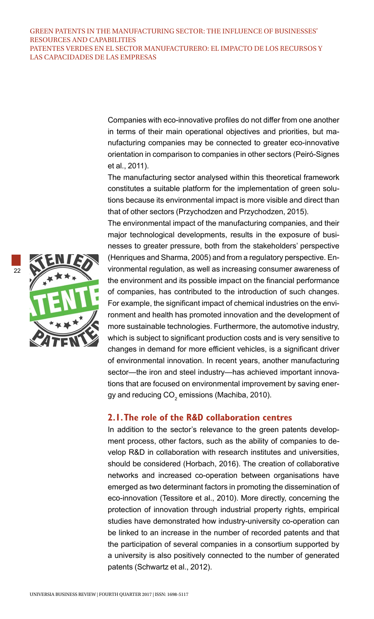Companies with eco-innovative profiles do not differ from one another in terms of their main operational objectives and priorities, but manufacturing companies may be connected to greater eco-innovative orientation in comparison to companies in other sectors (Peiró-Signes et al., 2011).

The manufacturing sector analysed within this theoretical framework constitutes a suitable platform for the implementation of green solutions because its environmental impact is more visible and direct than that of other sectors (Przychodzen and Przychodzen, 2015).

The environmental impact of the manufacturing companies, and their major technological developments, results in the exposure of businesses to greater pressure, both from the stakeholders' perspective (Henriques and Sharma, 2005) and from a regulatory perspective. Environmental regulation, as well as increasing consumer awareness of the environment and its possible impact on the financial performance of companies, has contributed to the introduction of such changes. For example, the significant impact of chemical industries on the environment and health has promoted innovation and the development of more sustainable technologies. Furthermore, the automotive industry, which is subject to significant production costs and is very sensitive to changes in demand for more efficient vehicles, is a significant driver of environmental innovation. In recent years, another manufacturing sector—the iron and steel industry—has achieved important innovations that are focused on environmental improvement by saving energy and reducing CO $_{\rm 2}$  emissions (Machiba, 2010).

## **2.1. The role of the R&D collaboration centres**

In addition to the sector's relevance to the green patents development process, other factors, such as the ability of companies to develop R&D in collaboration with research institutes and universities, should be considered (Horbach, 2016). The creation of collaborative networks and increased co-operation between organisations have emerged as two determinant factors in promoting the dissemination of eco-innovation (Tessitore et al., 2010). More directly, concerning the protection of innovation through industrial property rights, empirical studies have demonstrated how industry-university co-operation can be linked to an increase in the number of recorded patents and that the participation of several companies in a consortium supported by a university is also positively connected to the number of generated patents (Schwartz et al., 2012).

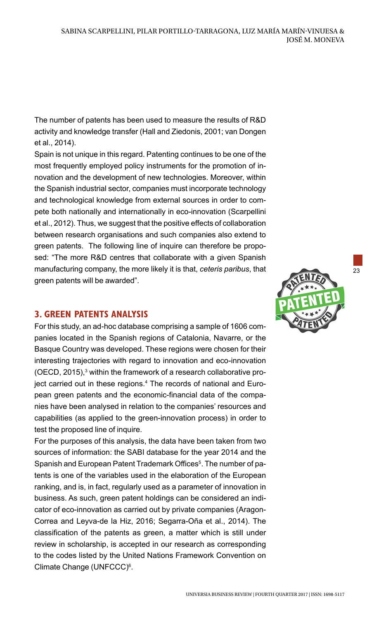The number of patents has been used to measure the results of R&D activity and knowledge transfer (Hall and Ziedonis, 2001; van Dongen et al., 2014).

Spain is not unique in this regard. Patenting continues to be one of the most frequently employed policy instruments for the promotion of innovation and the development of new technologies. Moreover, within the Spanish industrial sector, companies must incorporate technology and technological knowledge from external sources in order to compete both nationally and internationally in eco-innovation (Scarpellini et al., 2012). Thus, we suggest that the positive effects of collaboration between research organisations and such companies also extend to green patents. The following line of inquire can therefore be proposed: "The more R&D centres that collaborate with a given Spanish manufacturing company, the more likely it is that, *ceteris paribus*, that green patents will be awarded".

## **3. GREEN PATENTS ANALYSIS**

For this study, an ad-hoc database comprising a sample of 1606 companies located in the Spanish regions of Catalonia, Navarre, or the Basque Country was developed. These regions were chosen for their interesting trajectories with regard to innovation and eco-innovation (OECD, 2015),<sup>3</sup> within the framework of a research collaborative project carried out in these regions.<sup>4</sup> The records of national and European green patents and the economic-financial data of the companies have been analysed in relation to the companies' resources and capabilities (as applied to the green-innovation process) in order to test the proposed line of inquire.

For the purposes of this analysis, the data have been taken from two sources of information: the SABI database for the year 2014 and the Spanish and European Patent Trademark Offices<sup>5</sup>. The number of patents is one of the variables used in the elaboration of the European ranking, and is, in fact, regularly used as a parameter of innovation in business. As such, green patent holdings can be considered an indicator of eco-innovation as carried out by private companies (Aragon-Correa and Leyva-de la Hiz, 2016; Segarra-Oña et al., 2014). The classification of the patents as green, a matter which is still under review in scholarship, is accepted in our research as corresponding to the codes listed by the United Nations Framework Convention on Climate Change (UNFCCC)<sup>6</sup>.



23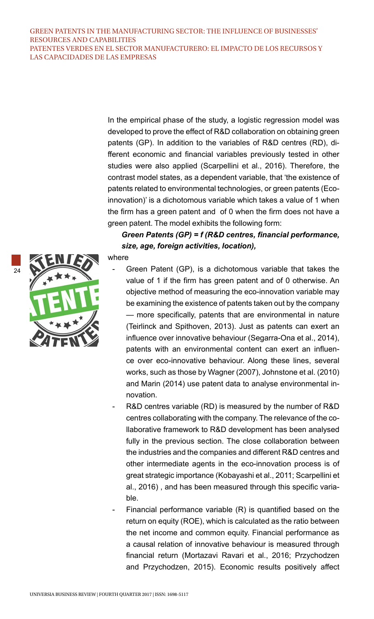In the empirical phase of the study, a logistic regression model was developed to prove the effect of R&D collaboration on obtaining green patents (GP). In addition to the variables of R&D centres (RD), different economic and financial variables previously tested in other studies were also applied (Scarpellini et al., 2016). Therefore, the contrast model states, as a dependent variable, that 'the existence of patents related to environmental technologies, or green patents (Ecoinnovation)' is a dichotomous variable which takes a value of 1 when the firm has a green patent and of 0 when the firm does not have a green patent. The model exhibits the following form:

## *Green Patents (GP) = f (R&D centres, financial performance, size, age, foreign activities, location),*

24



where

- Green Patent (GP), is a dichotomous variable that takes the value of 1 if the firm has green patent and of 0 otherwise. An objective method of measuring the eco-innovation variable may be examining the existence of patents taken out by the company — more specifically, patents that are environmental in nature (Teirlinck and Spithoven, 2013). Just as patents can exert an influence over innovative behaviour (Segarra-Ona et al., 2014), patents with an environmental content can exert an influence over eco-innovative behaviour. Along these lines, several works, such as those by Wagner (2007), Johnstone et al. (2010) and Marin (2014) use patent data to analyse environmental innovation.
- R&D centres variable (RD) is measured by the number of R&D centres collaborating with the company. The relevance of the collaborative framework to R&D development has been analysed fully in the previous section. The close collaboration between the industries and the companies and different R&D centres and other intermediate agents in the eco-innovation process is of great strategic importance (Kobayashi et al., 2011; Scarpellini et al., 2016) , and has been measured through this specific variable.
- Financial performance variable (R) is quantified based on the return on equity (ROE), which is calculated as the ratio between the net income and common equity. Financial performance as a causal relation of innovative behaviour is measured through financial return (Mortazavi Ravari et al., 2016; Przychodzen and Przychodzen, 2015). Economic results positively affect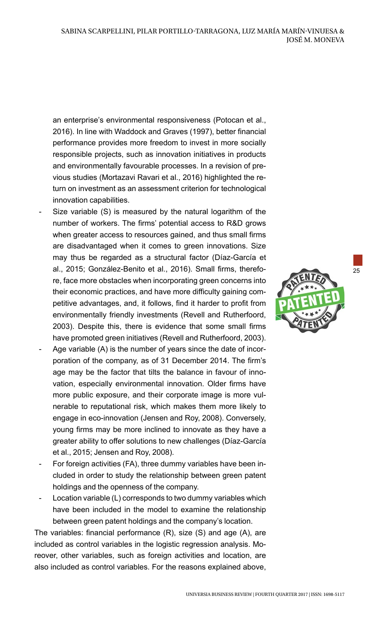an enterprise's environmental responsiveness (Potocan et al., 2016). In line with Waddock and Graves (1997), better financial performance provides more freedom to invest in more socially responsible projects, such as innovation initiatives in products and environmentally favourable processes. In a revision of previous studies (Mortazavi Ravari et al., 2016) highlighted the return on investment as an assessment criterion for technological innovation capabilities.

- Size variable (S) is measured by the natural logarithm of the number of workers. The firms' potential access to R&D grows when greater access to resources gained, and thus small firms are disadvantaged when it comes to green innovations. Size may thus be regarded as a structural factor (Díaz-García et al., 2015; González-Benito et al., 2016). Small firms, therefore, face more obstacles when incorporating green concerns into their economic practices, and have more difficulty gaining competitive advantages, and, it follows, find it harder to profit from environmentally friendly investments (Revell and Rutherfoord, 2003). Despite this, there is evidence that some small firms have promoted green initiatives (Revell and Rutherfoord, 2003).
- Age variable (A) is the number of years since the date of incorporation of the company, as of 31 December 2014. The firm's age may be the factor that tilts the balance in favour of innovation, especially environmental innovation. Older firms have more public exposure, and their corporate image is more vulnerable to reputational risk, which makes them more likely to engage in eco-innovation (Jensen and Roy, 2008). Conversely, young firms may be more inclined to innovate as they have a greater ability to offer solutions to new challenges (Díaz-García et al., 2015; Jensen and Roy, 2008).
- For foreign activities (FA), three dummy variables have been included in order to study the relationship between green patent holdings and the openness of the company.
- Location variable (L) corresponds to two dummy variables which have been included in the model to examine the relationship between green patent holdings and the company's location.

The variables: financial performance (R), size (S) and age (A), are included as control variables in the logistic regression analysis. Moreover, other variables, such as foreign activities and location, are also included as control variables. For the reasons explained above,



25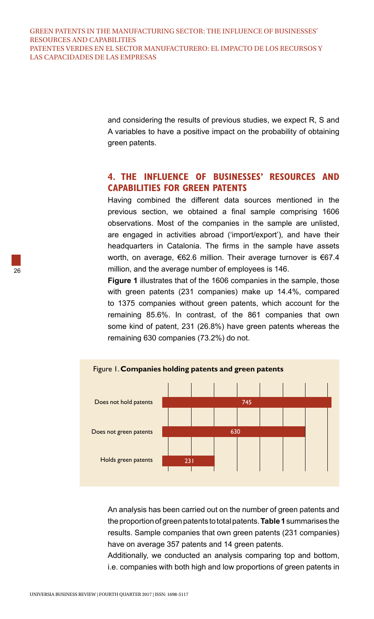and considering the results of previous studies, we expect R, S and A variables to have a positive impact on the probability of obtaining green patents.

## **4. THE INFLUENCE OF BUSINESSES' RESOURCES AND CAPABILITIES FOR GREEN PATENTS**

Having combined the different data sources mentioned in the previous section, we obtained a final sample comprising 1606 observations. Most of the companies in the sample are unlisted, are engaged in activities abroad ('import/export'), and have their headquarters in Catalonia. The firms in the sample have assets worth, on average, €62.6 million. Their average turnover is €67.4 million, and the average number of employees is 146.

**Figure 1** illustrates that of the 1606 companies in the sample, those with green patents (231 companies) make up 14.4%, compared to 1375 companies without green patents, which account for the remaining 85.6%. In contrast, of the 861 companies that own some kind of patent, 231 (26.8%) have green patents whereas the remaining 630 companies (73.2%) do not.



An analysis has been carried out on the number of green patents and the proportion of green patents to total patents. **Table 1** summarises the results. Sample companies that own green patents (231 companies) have on average 357 patents and 14 green patents.

Additionally, we conducted an analysis comparing top and bottom, i.e. companies with both high and low proportions of green patents in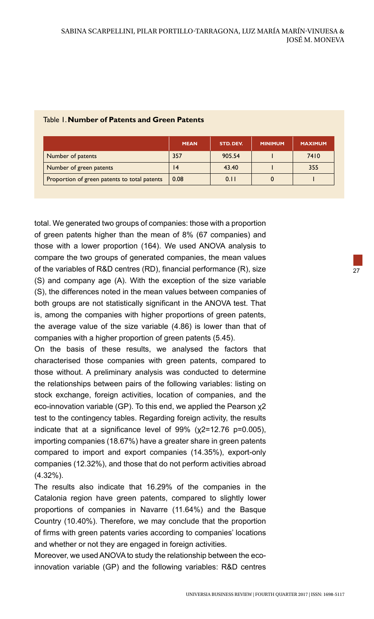|                                              | <b>MEAN</b> | STD. DEV. | <b>MINIMUM</b> | <b>MAXIMUM</b> |
|----------------------------------------------|-------------|-----------|----------------|----------------|
| Number of patents                            | 357         | 905.54    |                | 7410           |
| Number of green patents                      | 4           | 43.40     |                | 355            |
| Proportion of green patents to total patents | 0.08        | 0.11      |                |                |

#### Table 1. **Number of Patents and Green Patents**

total. We generated two groups of companies: those with a proportion of green patents higher than the mean of 8% (67 companies) and those with a lower proportion (164). We used ANOVA analysis to compare the two groups of generated companies, the mean values of the variables of R&D centres (RD), financial performance (R), size (S) and company age (A). With the exception of the size variable (S), the differences noted in the mean values between companies of both groups are not statistically significant in the ANOVA test. That is, among the companies with higher proportions of green patents, the average value of the size variable (4.86) is lower than that of companies with a higher proportion of green patents (5.45).

On the basis of these results, we analysed the factors that characterised those companies with green patents, compared to those without. A preliminary analysis was conducted to determine the relationships between pairs of the following variables: listing on stock exchange, foreign activities, location of companies, and the eco-innovation variable (GP). To this end, we applied the Pearson χ2 test to the contingency tables. Regarding foreign activity, the results indicate that at a significance level of 99% (χ2=12.76 p=0.005), importing companies (18.67%) have a greater share in green patents compared to import and export companies (14.35%), export-only companies (12.32%), and those that do not perform activities abroad (4.32%).

The results also indicate that 16.29% of the companies in the Catalonia region have green patents, compared to slightly lower proportions of companies in Navarre (11.64%) and the Basque Country (10.40%). Therefore, we may conclude that the proportion of firms with green patents varies according to companies' locations and whether or not they are engaged in foreign activities.

Moreover, we used ANOVA to study the relationship between the ecoinnovation variable (GP) and the following variables: R&D centres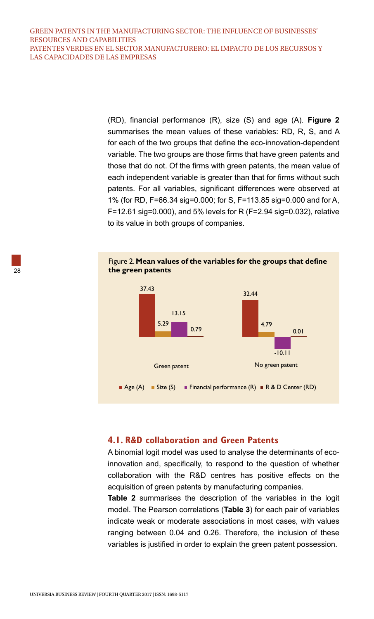(RD), financial performance (R), size (S) and age (A). **Figure 2** summarises the mean values of these variables: RD, R, S, and A for each of the two groups that define the eco-innovation-dependent variable. The two groups are those firms that have green patents and those that do not. Of the firms with green patents, the mean value of each independent variable is greater than that for firms without such patents. For all variables, significant differences were observed at 1% (for RD, F=66.34 sig=0.000; for S, F=113.85 sig=0.000 and for A, F=12.61 sig=0.000), and 5% levels for R (F=2.94 sig=0.032), relative to its value in both groups of companies.

#### Figure 2. **Mean values of the variables for the groups that define the green patents**



#### **4.1. R&D collaboration and Green Patents**

A binomial logit model was used to analyse the determinants of ecoinnovation and, specifically, to respond to the question of whether collaboration with the R&D centres has positive effects on the acquisition of green patents by manufacturing companies.

**Table 2** summarises the description of the variables in the logit model. The Pearson correlations (**Table 3**) for each pair of variables indicate weak or moderate associations in most cases, with values ranging between 0.04 and 0.26. Therefore, the inclusion of these variables is justified in order to explain the green patent possession.

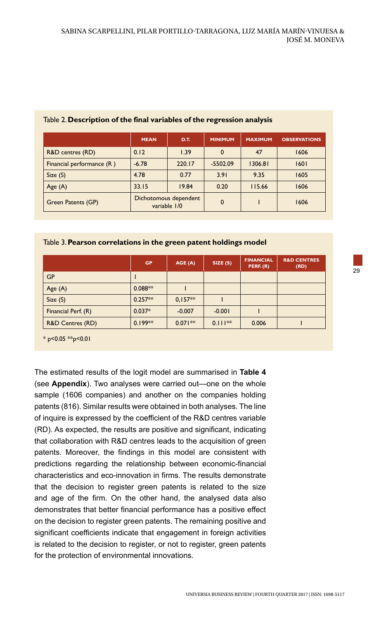|                           | <b>MEAN</b>                           | D.T.   | <b>MINIMUM</b> | <b>MAXIMUM</b> | <b>OBSERVATIONS</b> |
|---------------------------|---------------------------------------|--------|----------------|----------------|---------------------|
| R&D centres (RD)          | 0.12                                  | 1.39   | $\mathbf 0$    | 47             | 1606                |
| Financial performance (R) | $-6.78$                               | 220.17 | $-5502.09$     | 1306.81        | 1601                |
| Size(S)                   | 4.78                                  | 0.77   | 3.91           | 9.35           | 1605                |
| Age $(A)$                 | 33.15                                 | 19.84  | 0.20           | 115.66         | 1606                |
| <b>Green Patents (GP)</b> | Dichotomous dependent<br>variable 1/0 |        | $\mathbf 0$    |                | 1606                |

#### Table 2. **Description of the final variables of the regression analysis**

#### Table 3. **Pearson correlations in the green patent holdings model**

|                             | <b>GP</b> | AGE(A)    | SIZE(S)   | <b>FINANCIAL</b><br>PERF. (R) | <b>R&amp;D CENTRES</b><br>(RD) |
|-----------------------------|-----------|-----------|-----------|-------------------------------|--------------------------------|
| GP                          |           |           |           |                               |                                |
| Age $(A)$                   | $0.088**$ |           |           |                               |                                |
| Size(S)                     | $0.257**$ | $0,157**$ |           |                               |                                |
| Financial Perf. (R)         | $0.037*$  | $-0.007$  | $-0.001$  |                               |                                |
| <b>R&amp;D Centres (RD)</b> | $0.199**$ | $0.071**$ | $0.111**$ | 0.006                         |                                |

 $*$  p<0.05 \*\*p<0.01

The estimated results of the logit model are summarised in **Table 4**  (see **Appendix**). Two analyses were carried out—one on the whole sample (1606 companies) and another on the companies holding patents (816). Similar results were obtained in both analyses. The line of inquire is expressed by the coefficient of the R&D centres variable (RD). As expected, the results are positive and significant, indicating that collaboration with R&D centres leads to the acquisition of green patents. Moreover, the findings in this model are consistent with predictions regarding the relationship between economic-financial characteristics and eco-innovation in firms. The results demonstrate that the decision to register green patents is related to the size and age of the firm. On the other hand, the analysed data also demonstrates that better financial performance has a positive effect on the decision to register green patents. The remaining positive and significant coefficients indicate that engagement in foreign activities is related to the decision to register, or not to register, green patents for the protection of environmental innovations.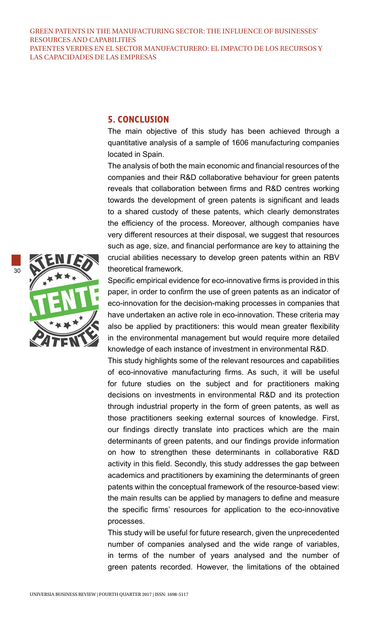#### **5. CONCLUSION**

The main objective of this study has been achieved through a quantitative analysis of a sample of 1606 manufacturing companies located in Spain.

The analysis of both the main economic and financial resources of the companies and their R&D collaborative behaviour for green patents reveals that collaboration between firms and R&D centres working towards the development of green patents is significant and leads to a shared custody of these patents, which clearly demonstrates the efficiency of the process. Moreover, although companies have very different resources at their disposal, we suggest that resources such as age, size, and financial performance are key to attaining the crucial abilities necessary to develop green patents within an RBV theoretical framework.

Specific empirical evidence for eco-innovative firms is provided in this paper, in order to confirm the use of green patents as an indicator of eco-innovation for the decision-making processes in companies that have undertaken an active role in eco-innovation. These criteria may also be applied by practitioners: this would mean greater flexibility in the environmental management but would require more detailed knowledge of each instance of investment in environmental R&D.

This study highlights some of the relevant resources and capabilities of eco-innovative manufacturing firms. As such, it will be useful for future studies on the subject and for practitioners making decisions on investments in environmental R&D and its protection through industrial property in the form of green patents, as well as those practitioners seeking external sources of knowledge. First, our findings directly translate into practices which are the main determinants of green patents, and our findings provide information on how to strengthen these determinants in collaborative R&D activity in this field. Secondly, this study addresses the gap between academics and practitioners by examining the determinants of green patents within the conceptual framework of the resource-based view: the main results can be applied by managers to define and measure the specific firms' resources for application to the eco-innovative processes.

This study will be useful for future research, given the unprecedented number of companies analysed and the wide range of variables, in terms of the number of years analysed and the number of green patents recorded. However, the limitations of the obtained

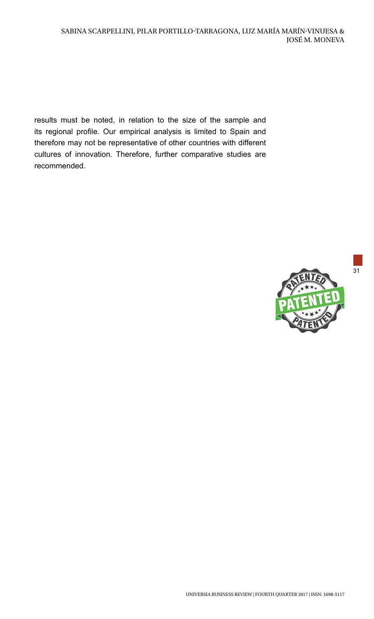results must be noted, in relation to the size of the sample and its regional profile. Our empirical analysis is limited to Spain and therefore may not be representative of other countries with different cultures of innovation. Therefore, further comparative studies are recommended.



31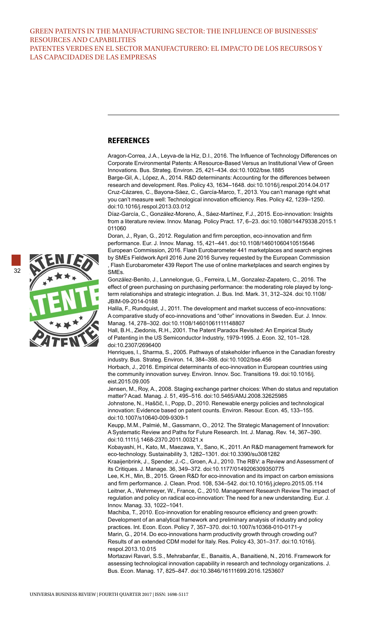#### **REFERENCES**

Aragon-Correa, J.A., Leyva-de la Hiz, D.I., 2016. The Influence of Technology Differences on Corporate Environmental Patents: A Resource-Based Versus an Institutional View of Green Innovations. Bus. Strateg. Environ. 25, 421–434. doi:10.1002/bse.1885

Barge-Gil, A., López, A., 2014. R&D determinants: Accounting for the differences between research and development. Res. Policy 43, 1634–1648. doi:10.1016/j.respol.2014.04.017 Cruz-Cázares, C., Bayona-Sáez, C., García-Marco, T., 2013. You can't manage right what you can't measure well: Technological innovation efficiency. Res. Policy 42, 1239–1250. doi:10.1016/j.respol.2013.03.012

Díaz-García, C., González-Moreno, Á., Sáez-Martínez, F.J., 2015. Eco-innovation: Insights from a literature review. Innov. Manag. Policy Pract. 17, 6–23. doi:10.1080/14479338.2015.1 011060

Doran, J., Ryan, G., 2012. Regulation and firm perception, eco-innovation and firm performance. Eur. J. Innov. Manag. 15, 421–441. doi:10.1108/14601060410515646 European Commission, 2016. Flash Eurobarometer 441 marketplaces and search engines by SMEs Fieldwork April 2016 June 2016 Survey requested by the European Commission , Flash Eurobarometer 439 Report The use of online marketplaces and search engines by SMEs.

González-Benito, J., Lannelongue, G., Ferreira, L.M., Gonzalez-Zapatero, C., 2016. The effect of green purchasing on purchasing performance: the moderating role played by longterm relationships and strategic integration. J. Bus. Ind. Mark. 31, 312–324. doi:10.1108/ JBIM-09-2014-0188

Halila, F., Rundquist, J., 2011. The development and market success of eco-innovations: A comparative study of eco-innovations and "other" innovations in Sweden. Eur. J. Innov. Manag. 14, 278–302. doi:10.1108/14601061111148807

Hall, B.H., Ziedonis, R.H., 2001. The Patent Paradox Revisited: An Empirical Study of Patenting in the US Semiconductor Industriy, 1979-1995. J. Econ. 32, 101–128. doi:10.2307/2696400

Henriques, I., Sharma, S., 2005. Pathways of stakeholder influence in the Canadian forestry industry. Bus. Strateg. Environ. 14, 384–398. doi:10.1002/bse.456

Horbach, J., 2016. Empirical determinants of eco-innovation in European countries using the community innovation survey. Environ. Innov. Soc. Transitions 19. doi:10.1016/j. eist.2015.09.005

Jensen, M., Roy, A., 2008. Staging exchange partner choices: When do status and reputation matter? Acad. Manag. J. 51, 495–516. doi:10.5465/AMJ.2008.32625985

Johnstone, N., Haščič, I., Popp, D., 2010. Renewable energy policies and technological innovation: Evidence based on patent counts. Environ. Resour. Econ. 45, 133–155. doi:10.1007/s10640-009-9309-1

Keupp, M.M., Palmié, M., Gassmann, O., 2012. The Strategic Management of Innovation: A Systematic Review and Paths for Future Research. Int. J. Manag. Rev. 14, 367–390. doi:10.1111/j.1468-2370.2011.00321.x

Kobayashi, H., Kato, M., Maezawa, Y., Sano, K., 2011. An R&D management framework for eco-technology. Sustainability 3, 1282–1301. doi:10.3390/su3081282

Kraaijenbrink, J., Spender, J.-C., Groen, A.J., 2010. The RBV: a Review and Assessment of its Critiques. J. Manage. 36, 349–372. doi:10.1177/0149206309350775

Lee, K.H., Min, B., 2015. Green R&D for eco-innovation and its impact on carbon emissions and firm performance. J. Clean. Prod. 108, 534–542. doi:10.1016/j.jclepro.2015.05.114 Leitner, A., Wehrmeyer, W., France, C., 2010. Management Research Review The impact of regulation and policy on radical eco-innovation: The need for a new understanding. Eur. J. Innov. Manag. 33, 1022–1041.

Machiba, T., 2010. Eco-innovation for enabling resource efficiency and green growth: Development of an analytical framework and preliminary analysis of industry and policy practices. Int. Econ. Econ. Policy 7, 357–370. doi:10.1007/s10368-010-0171-y Marin, G., 2014. Do eco-innovations harm productivity growth through crowding out? Results of an extended CDM model for Italy. Res. Policy 43, 301–317. doi:10.1016/j. respol.2013.10.015

Mortazavi Ravari, S.S., Mehrabanfar, E., Banaitis, A., Banaitienė, N., 2016. Framework for assessing technological innovation capability in research and technology organizations. J. Bus. Econ. Manag. 17, 825–847. doi:10.3846/16111699.2016.1253607

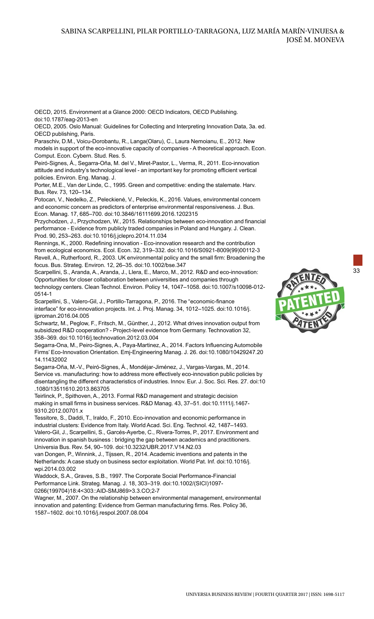OECD, 2015. Environment at a Glance 2000: OECD Indicators, OECD Publishing. doi:10.1787/eag-2013-en

OECD, 2005. Oslo Manual: Guidelines for Collecting and Interpreting Innovation Data, 3a. ed. OECD publishing, Paris.

Paraschiv, D.M., Voicu-Dorobantu, R., Langa(Olaru), C., Laura Nemoianu, E., 2012. New models in support of the eco-innovative capacity of companies - A theoretical approach. Econ. Comput. Econ. Cybern. Stud. Res. 5.

Peiró-Signes, Á., Segarra-Oña, M. del V., Miret-Pastor, L., Verma, R., 2011. Eco-innovation attitude and industry's technological level - an important key for promoting efficient vertical policies. Environ. Eng. Manag. J.

Porter, M.E., Van der Linde, C., 1995. Green and competitive: ending the stalemate. Harv. Bus. Rev. 73, 120–134.

Potocan, V., Nedelko, Z., Peleckienė, V., Peleckis, K., 2016. Values, environmental concern and economic concern as predictors of enterprise environmental responsiveness. J. Bus. Econ. Manag. 17, 685–700. doi:10.3846/16111699.2016.1202315

Przychodzen, J., Przychodzen, W., 2015. Relationships between eco-innovation and financial performance - Evidence from publicly traded companies in Poland and Hungary. J. Clean. Prod. 90, 253–263. doi:10.1016/j.jclepro.2014.11.034

Rennings, K., 2000. Redefining innovation - Eco-innovation research and the contribution from ecological economics. Ecol. Econ. 32, 319–332. doi:10.1016/S0921-8009(99)00112-3 Revell, A., Rutherfoord, R., 2003. UK environmental policy and the small firm: Broadening the focus. Bus. Strateg. Environ. 12, 26–35. doi:10.1002/bse.347

Scarpellini, S., Aranda, A., Aranda, J., Llera, E., Marco, M., 2012. R&D and eco-innovation: Opportunities for closer collaboration between universities and companies through technology centers. Clean Technol. Environ. Policy 14, 1047–1058. doi:10.1007/s10098-012- 0514-1

Scarpellini, S., Valero-Gil, J., Portillo-Tarragona, P., 2016. The "economic-finance interface" for eco-innovation projects. Int. J. Proj. Manag. 34, 1012–1025. doi:10.1016/j. ijproman.2016.04.005

Schwartz, M., Peglow, F., Fritsch, M., Günther, J., 2012. What drives innovation output from subsidized R&D cooperation? - Project-level evidence from Germany. Technovation 32, 358–369. doi:10.1016/j.technovation.2012.03.004

Segarra-Ona, M., Peiro-Signes, A., Paya-Martinez, A., 2014. Factors Influencing Automobile Firms' Eco-Innovation Orientation. Emj-Engineering Manag. J. 26. doi:10.1080/10429247.20 14.11432002

Segarra-Oña, M.-V., Peiró-Signes, Á., Mondéjar-Jiménez, J., Vargas-Vargas, M., 2014. Service vs. manufacturing: how to address more effectively eco-innovation public policies by disentangling the different characteristics of industries. Innov. Eur. J. Soc. Sci. Res. 27. doi:10 .1080/13511610.2013.863705

Teirlinck, P., Spithoven, A., 2013. Formal R&D management and strategic decision making in small firms in business services. R&D Manag. 43, 37–51. doi:10.1111/j.1467- 9310.2012.00701.x

Tessitore, S., Daddi, T., Iraldo, F., 2010. Eco-innovation and economic performance in industrial clusters: Evidence from Italy. World Acad. Sci. Eng. Technol. 42, 1487–1493. Valero-Gil, J., Scarpellini, S., Garcés-Ayerbe, C., Rivera-Torres, P., 2017. Environment and innovation in spanish business : bridging the gap between academics and practitioners. Universia Bus. Rev. 54, 90–109. doi:10.3232/UBR.2017.V14.N2.03

van Dongen, P., Winnink, J., Tijssen, R., 2014. Academic inventions and patents in the Netherlands: A case study on business sector exploitation. World Pat. Inf. doi:10.1016/j. wni.2014.03.002

Waddock, S.A., Graves, S.B., 1997. The Corporate Social Performance-Financial Performance Link. Strateg. Manag. J. 18, 303–319. doi:10.1002/(SICI)1097- 0266(199704)18:4<303::AID-SMJ869>3.3.CO;2-7

Wagner, M., 2007. On the relationship between environmental management, environmental innovation and patenting: Evidence from German manufacturing firms. Res. Policy 36, 1587–1602. doi:10.1016/j.respol.2007.08.004



UNIVERSIA BUSINESS REVIEW | FOURTH QUARTER 2017 | ISSN: 1698-5117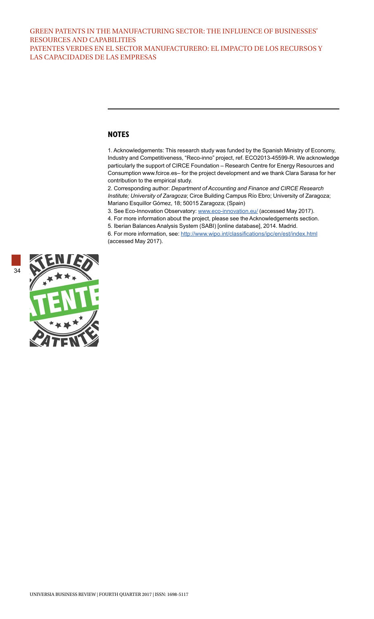#### **NOTES**

1. Acknowledgements: This research study was funded by the Spanish Ministry of Economy, Industry and Competitiveness, "Reco-inno" project, ref. ECO2013-45599-R. We acknowledge particularly the support of CIRCE Foundation – Research Centre for Energy Resources and Consumption www.fcirce.es– for the project development and we thank Clara Sarasa for her contribution to the empirical study.

2. Corresponding author: *Department of Accounting and Finance and CIRCE Research Institute; University of Zaragoza*; Circe Building Campus Río Ebro; University of Zaragoza; Mariano Esquillor Gómez, 18; 50015 Zaragoza; (Spain)

3. See Eco-Innovation Observatory: [www.eco-innovation.eu/](http://www.eco-innovation.eu/) (accessed May 2017).

4. For more information about the project, please see the Acknowledgements section.

5. Iberian Balances Analysis System (SABI) [online database], 2014. Madrid.

6. For more information, see: <http://www.wipo.int/classifications/ipc/en/est/index.html> (accessed May 2017).